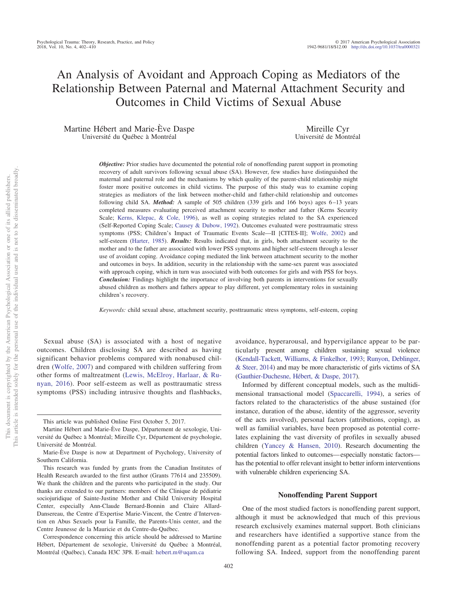# An Analysis of Avoidant and Approach Coping as Mediators of the Relationship Between Paternal and Maternal Attachment Security and Outcomes in Child Victims of Sexual Abuse

Martine Hébert and Marie-Ève Daspe Université du Québec à Montréal

Mireille Cyr Université de Montréal

*Objective:* Prior studies have documented the potential role of nonoffending parent support in promoting recovery of adult survivors following sexual abuse (SA). However, few studies have distinguished the maternal and paternal role and the mechanisms by which quality of the parent-child relationship might foster more positive outcomes in child victims. The purpose of this study was to examine coping strategies as mediators of the link between mother-child and father-child relationship and outcomes following child SA. *Method:* A sample of 505 children (339 girls and 166 boys) ages 6-13 years completed measures evaluating perceived attachment security to mother and father (Kerns Security Scale; [Kerns, Klepac, & Cole, 1996\)](#page-7-0), as well as coping strategies related to the SA experienced (Self-Reported Coping Scale; [Causey & Dubow, 1992\)](#page-6-0). Outcomes evaluated were posttraumatic stress symptoms (PSS; Children's Impact of Traumatic Events Scale—II [CITES-II]; [Wolfe, 2002\)](#page-8-0) and self-esteem [\(Harter, 1985\)](#page-7-1). *Results:* Results indicated that, in girls, both attachment security to the mother and to the father are associated with lower PSS symptoms and higher self-esteem through a lesser use of avoidant coping. Avoidance coping mediated the link between attachment security to the mother and outcomes in boys. In addition, security in the relationship with the same-sex parent was associated with approach coping, which in turn was associated with both outcomes for girls and with PSS for boys. *Conclusion:* Findings highlight the importance of involving both parents in interventions for sexually abused children as mothers and fathers appear to play different, yet complementary roles in sustaining children's recovery.

*Keywords:* child sexual abuse, attachment security, posttraumatic stress symptoms, self-esteem, coping

Sexual abuse (SA) is associated with a host of negative outcomes. Children disclosing SA are described as having significant behavior problems compared with nonabused children [\(Wolfe, 2007\)](#page-8-1) and compared with children suffering from other forms of maltreatment [\(Lewis, McElroy, Harlaar, & Ru](#page-7-2)[nyan, 2016\)](#page-7-2). Poor self-esteem as well as posttraumatic stress symptoms (PSS) including intrusive thoughts and flashbacks,

avoidance, hyperarousal, and hypervigilance appear to be particularly present among children sustaining sexual violence [\(Kendall-Tackett, Williams, & Finkelhor, 1993;](#page-7-3) [Runyon, Deblinger,](#page-8-2) [& Steer, 2014\)](#page-8-2) and may be more characteristic of girls victims of SA [\(Gauthier-Duchesne, Hébert, & Daspe, 2017\)](#page-7-4).

Informed by different conceptual models, such as the multidimensional transactional model [\(Spaccarelli, 1994\)](#page-8-3), a series of factors related to the characteristics of the abuse sustained (for instance, duration of the abuse, identity of the aggressor, severity of the acts involved), personal factors (attributions, coping), as well as familial variables, have been proposed as potential correlates explaining the vast diversity of profiles in sexually abused children [\(Yancey & Hansen, 2010\)](#page-8-4). Research documenting the potential factors linked to outcomes—especially nonstatic factors has the potential to offer relevant insight to better inform interventions with vulnerable children experiencing SA.

# **Nonoffending Parent Support**

One of the most studied factors is nonoffending parent support, although it must be acknowledged that much of this previous research exclusively examines maternal support. Both clinicians and researchers have identified a supportive stance from the nonoffending parent as a potential factor promoting recovery following SA. Indeed, support from the nonoffending parent

This article was published Online First October 5, 2017.

Martine Hébert and Marie-Ève Daspe, Département de sexologie, Université du Québec à Montréal; Mireille Cyr, Département de psychologie, Université de Montréal.

Marie-Ève Daspe is now at Department of Psychology, University of Southern California.

This research was funded by grants from the Canadian Institutes of Health Research awarded to the first author (Grants 77614 and 235509). We thank the children and the parents who participated in the study. Our thanks are extended to our partners: members of the Clinique de pédiatrie sociojuridique of Sainte-Justine Mother and Child University Hospital Center, especially Ann-Claude Bernard-Bonnin and Claire Allard-Dansereau, the Centre d'Expertise Marie-Vincent, the Centre d'Intervention en Abus Sexuels pour la Famille, the Parents-Unis center, and the Centre Jeunesse de la Mauricie et du Centre-du-Québec.

Correspondence concerning this article should be addressed to Martine Hébert, Département de sexologie, Université du Québec à Montréal, Montréal (Québec), Canada H3C 3P8. E-mail: [hebert.m@uqam.ca](mailto:hebert.m@uqam.ca)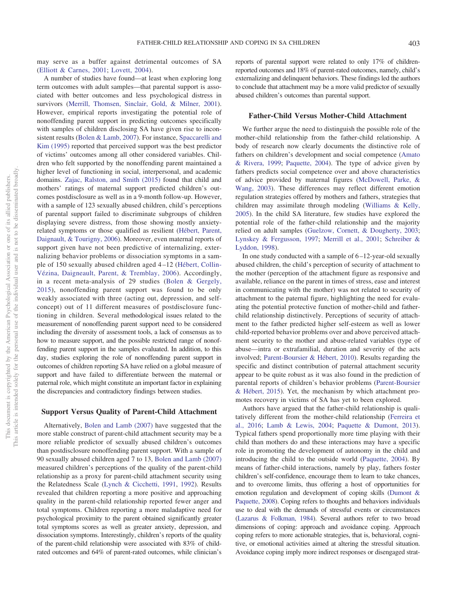reports of parental support were related to only 17% of childrenreported outcomes and 18% of parent-rated outcomes, namely, child's externalizing and delinquent behaviors. These findings led the authors to conclude that attachment may be a more valid predictor of sexually

#### **Father-Child Versus Mother-Child Attachment**

abused children's outcomes than parental support.

We further argue the need to distinguish the possible role of the mother-child relationship from the father-child relationship. A body of research now clearly documents the distinctive role of fathers on children's development and social competence [\(Amato](#page-6-3) [& Rivera, 1999;](#page-6-3) [Paquette, 2004\)](#page-7-12). The type of advice given by fathers predicts social competence over and above characteristics of advice provided by maternal figures [\(McDowell, Parke, &](#page-7-13) [Wang, 2003\)](#page-7-13). These differences may reflect different emotion regulation strategies offered by mothers and fathers, strategies that children may assimilate through modeling [\(Williams & Kelly,](#page-8-7) [2005\)](#page-8-7). In the child SA literature, few studies have explored the potential role of the father-child relationship and the majority relied on adult samples [\(Guelzow, Cornett, & Dougherty, 2003;](#page-7-14) [Lynskey & Fergusson, 1997;](#page-7-15) [Merrill et al., 2001;](#page-7-7) [Schreiber &](#page-8-8) [Lyddon, 1998\)](#page-8-8).

In one study conducted with a sample of  $6-12$ -year-old sexually abused children, the child's perception of security of attachment to the mother (perception of the attachment figure as responsive and available, reliance on the parent in times of stress, ease and interest in communicating with the mother) was not related to security of attachment to the paternal figure, highlighting the need for evaluating the potential protective function of mother-child and fatherchild relationship distinctively. Perceptions of security of attachment to the father predicted higher self-esteem as well as lower child-reported behavior problems over and above perceived attachment security to the mother and abuse-related variables (type of abuse—intra or extrafamilial, duration and severity of the acts involved; [Parent-Boursier & Hébert, 2010\)](#page-7-16). Results regarding the specific and distinct contribution of paternal attachment security appear to be quite robust as it was also found in the prediction of parental reports of children's behavior problems [\(Parent-Boursier](#page-7-17) [& Hébert, 2015\)](#page-7-17). Yet, the mechanism by which attachment promotes recovery in victims of SA has yet to been explored.

Authors have argued that the father-child relationship is qualitatively different from the mother-child relationship [\(Ferreira et](#page-7-18) [al., 2016;](#page-7-18) [Lamb & Lewis, 2004;](#page-7-19) [Paquette & Dumont, 2013\)](#page-7-20). Typical fathers spend proportionally more time playing with their child than mothers do and these interactions may have a specific role in promoting the development of autonomy in the child and introducing the child to the outside world [\(Paquette, 2004\)](#page-7-12). By means of father-child interactions, namely by play, fathers foster children's self-confidence, encourage them to learn to take chances, and to overcome limits, thus offering a host of opportunities for emotion regulation and development of coping skills [\(Dumont &](#page-7-21) [Paquette, 2008\)](#page-7-21). Coping refers to thoughts and behaviors individuals use to deal with the demands of stressful events or circumstances [\(Lazarus & Folkman, 1984\)](#page-7-22). Several authors refer to two broad dimensions of coping: approach and avoidance coping. Approach coping refers to more actionable strategies, that is, behavioral, cognitive, or emotional activities aimed at altering the stressful situation. Avoidance coping imply more indirect responses or disengaged strat-

may serve as a buffer against detrimental outcomes of SA [\(Elliott & Carnes, 2001;](#page-7-5) [Lovett, 2004\)](#page-7-6).

A number of studies have found—at least when exploring long term outcomes with adult samples—that parental support is associated with better outcomes and less psychological distress in survivors [\(Merrill, Thomsen, Sinclair, Gold, & Milner, 2001\)](#page-7-7). However, empirical reports investigating the potential role of nonoffending parent support in predicting outcomes specifically with samples of children disclosing SA have given rise to inconsistent results [\(Bolen & Lamb, 2007\)](#page-6-1). For instance, [Spaccarelli and](#page-8-5) [Kim \(1995\)](#page-8-5) reported that perceived support was the best predictor of victims' outcomes among all other considered variables. Children who felt supported by the nonoffending parent maintained a higher level of functioning in social, interpersonal, and academic domains. [Zajac, Ralston, and Smith \(2015\)](#page-8-6) found that child and mothers' ratings of maternal support predicted children's outcomes postdisclosure as well as in a 9-month follow-up. However, with a sample of 123 sexually abused children, child's perceptions of parental support failed to discriminate subgroups of children displaying severe distress, from those showing mostly anxietyrelated symptoms or those qualified as resilient [\(Hébert, Parent,](#page-7-8) [Daignault, & Tourigny, 2006\)](#page-7-8). Moreover, even maternal reports of support given have not been predictive of internalizing, externalizing behavior problems or dissociation symptoms in a sample of 150 sexually abused children aged 4 –12 [\(Hébert, Collin-](#page-7-9)[Vézina, Daigneault, Parent, & Tremblay, 2006\)](#page-7-9). Accordingly, in a recent meta-analysis of 29 studies [\(Bolen & Gergely,](#page-6-2) [2015\)](#page-6-2), nonoffending parent support was found to be only weakly associated with three (acting out, depression, and selfconcept) out of 11 different measures of postdisclosure functioning in children. Several methodological issues related to the measurement of nonoffending parent support need to be considered including the diversity of assessment tools, a lack of consensus as to how to measure support, and the possible restricted range of nonoffending parent support in the samples evaluated. In addition, to this day, studies exploring the role of nonoffending parent support in outcomes of children reporting SA have relied on a global measure of support and have failed to differentiate between the maternal or paternal role, which might constitute an important factor in explaining the discrepancies and contradictory findings between studies.

# **Support Versus Quality of Parent-Child Attachment**

Alternatively, [Bolen and Lamb \(2007\)](#page-6-1) have suggested that the more stable construct of parent-child attachment security may be a more reliable predictor of sexually abused children's outcomes than postdisclosure nonoffending parent support. With a sample of 90 sexually abused children aged 7 to 13, [Bolen and Lamb \(2007\)](#page-6-1) measured children's perceptions of the quality of the parent-child relationship as a proxy for parent-child attachment security using the Relatedness Scale [\(Lynch & Cicchetti, 1991,](#page-7-10) [1992\)](#page-7-11). Results revealed that children reporting a more positive and approaching quality in the parent-child relationship reported fewer anger and total symptoms. Children reporting a more maladaptive need for psychological proximity to the parent obtained significantly greater total symptoms scores as well as greater anxiety, depression, and dissociation symptoms. Interestingly, children's reports of the quality of the parent-child relationship were associated with 83% of childrated outcomes and 64% of parent-rated outcomes, while clinician's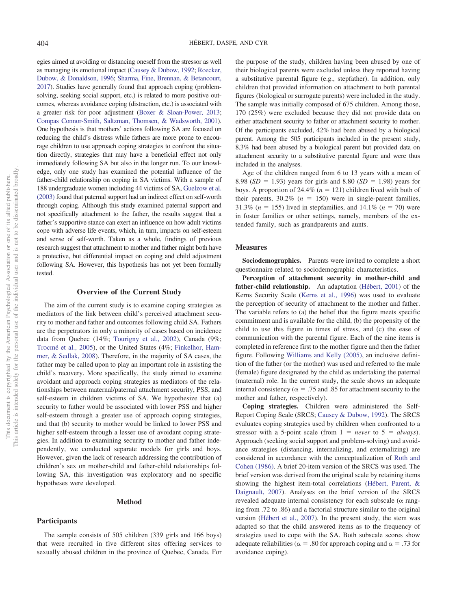egies aimed at avoiding or distancing oneself from the stressor as well as managing its emotional impact [\(Causey & Dubow, 1992;](#page-6-0) [Roecker,](#page-7-23) [Dubow, & Donaldson, 1996;](#page-7-23) [Sharma, Fine, Brennan, & Betancourt,](#page-8-9) [2017\)](#page-8-9). Studies have generally found that approach coping (problemsolving, seeking social support, etc.) is related to more positive outcomes, whereas avoidance coping (distraction, etc.) is associated with a greater risk for poor adjustment [\(Boxer & Sloan-Power, 2013;](#page-6-4) [Compas Connor-Smith, Saltzman, Thomsen, & Wadsworth, 2001\)](#page-7-24). One hypothesis is that mothers' actions following SA are focused on reducing the child's distress while fathers are more prone to encourage children to use approach coping strategies to confront the situation directly, strategies that may have a beneficial effect not only immediately following SA but also in the longer run. To our knowledge, only one study has examined the potential influence of the father-child relationship on coping in SA victims. With a sample of 188 undergraduate women including 44 victims of SA, [Guelzow et al.](#page-7-14) [\(2003\)](#page-7-14) found that paternal support had an indirect effect on self-worth through coping. Although this study examined paternal support and not specifically attachment to the father, the results suggest that a father's supportive stance can exert an influence on how adult victims cope with adverse life events, which, in turn, impacts on self-esteem and sense of self-worth. Taken as a whole, findings of previous research suggest that attachment to mother and father might both have a protective, but differential impact on coping and child adjustment following SA. However, this hypothesis has not yet been formally tested.

# **Overview of the Current Study**

The aim of the current study is to examine coping strategies as mediators of the link between child's perceived attachment security to mother and father and outcomes following child SA. Fathers are the perpetrators in only a minority of cases based on incidence data from Quebec (14%; [Tourigny et al., 2002\)](#page-8-10), Canada (9%; [Trocmé et al., 2005\)](#page-8-11), or the United States (4%; [Finkelhor, Ham](#page-7-25)[mer, & Sedlak, 2008\)](#page-7-25). Therefore, in the majority of SA cases, the father may be called upon to play an important role in assisting the child's recovery. More specifically, the study aimed to examine avoidant and approach coping strategies as mediators of the relationships between maternal/paternal attachment security, PSS, and self-esteem in children victims of SA. We hypothesize that (a) security to father would be associated with lower PSS and higher self-esteem through a greater use of approach coping strategies, and that (b) security to mother would be linked to lower PSS and higher self-esteem through a lesser use of avoidant coping strategies. In addition to examining security to mother and father independently, we conducted separate models for girls and boys. However, given the lack of research addressing the contribution of children's sex on mother-child and father-child relationships following SA, this investigation was exploratory and no specific hypotheses were developed.

#### **Method**

## **Participants**

The sample consists of 505 children (339 girls and 166 boys) that were recruited in five different sites offering services to sexually abused children in the province of Quebec, Canada. For the purpose of the study, children having been abused by one of their biological parents were excluded unless they reported having a substitutive parental figure (e.g., stepfather). In addition, only children that provided information on attachment to both parental figures (biological or surrogate parents) were included in the study. The sample was initially composed of 675 children. Among those, 170 (25%) were excluded because they did not provide data on either attachment security to father or attachment security to mother. Of the participants excluded, 42% had been abused by a biological parent. Among the 505 participants included in the present study, 8.3% had been abused by a biological parent but provided data on attachment security to a substitutive parental figure and were thus included in the analyses.

Age of the children ranged from 6 to 13 years with a mean of 8.98 ( $SD = 1.93$ ) years for girls and 8.80 ( $SD = 1.98$ ) years for boys. A proportion of  $24.4\%$  ( $n = 121$ ) children lived with both of their parents,  $30.2\%$  ( $n = 150$ ) were in single-parent families, 31.3% ( $n = 155$ ) lived in stepfamilies, and 14.1% ( $n = 70$ ) were in foster families or other settings, namely, members of the extended family, such as grandparents and aunts.

#### **Measures**

**Sociodemographics.** Parents were invited to complete a short questionnaire related to sociodemographic characteristics.

**Perception of attachment security in mother-child and father-child relationship.** An adaptation [\(Hébert, 2001\)](#page-7-26) of the Kerns Security Scale [\(Kerns et al., 1996\)](#page-7-0) was used to evaluate the perception of security of attachment to the mother and father. The variable refers to (a) the belief that the figure meets specific commitment and is available for the child, (b) the propensity of the child to use this figure in times of stress, and (c) the ease of communication with the parental figure. Each of the nine items is completed in reference first to the mother figure and then the father figure. Following [Williams and Kelly \(2005\),](#page-8-7) an inclusive definition of the father (or the mother) was used and referred to the male (female) figure designated by the child as undertaking the paternal (maternal) role. In the current study, the scale shows an adequate internal consistency ( $\alpha = .75$  and .85 for attachment security to the mother and father, respectively).

**Coping strategies.** Children were administered the Self-Report Coping Scale (SRCS; [Causey & Dubow, 1992\)](#page-6-0). The SRCS evaluates coping strategies used by children when confronted to a stressor with a 5-point scale (from  $1 = never$  to  $5 = always$ ). Approach (seeking social support and problem-solving) and avoidance strategies (distancing, internalizing, and externalizing) are considered in accordance with the conceptualization of [Roth and](#page-8-12) [Cohen \(1986\).](#page-8-12) A brief 20-item version of the SRCS was used. The brief version was derived from the original scale by retaining items showing the highest item-total correlations [\(Hébert, Parent, &](#page-7-27) [Daignault, 2007\)](#page-7-27). Analyses on the brief version of the SRCS revealed adequate internal consistency for each subscale  $(\alpha \text{ rang}$ ing from .72 to .86) and a factorial structure similar to the original version [\(Hébert et al., 2007\)](#page-7-27). In the present study, the stem was adapted so that the child answered items as to the frequency of strategies used to cope with the SA. Both subscale scores show adequate reliabilities ( $\alpha = .80$  for approach coping and  $\alpha = .73$  for avoidance coping).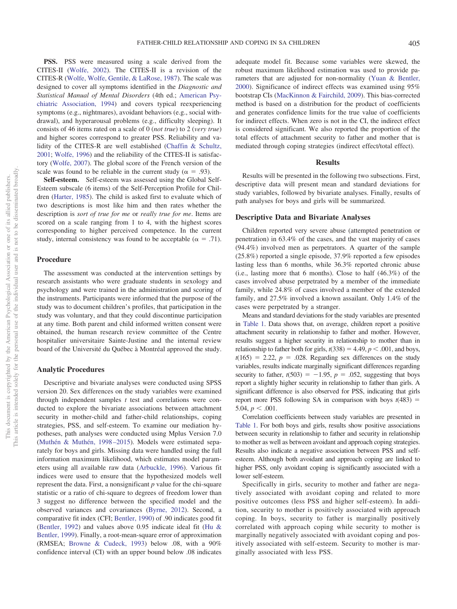**PSS.** PSS were measured using a scale derived from the CITES-II [\(Wolfe, 2002\)](#page-8-0). The CITES-II is a revision of the CITES-R [\(Wolfe, Wolfe, Gentile, & LaRose, 1987\)](#page-8-13). The scale was designed to cover all symptoms identified in the *Diagnostic and Statistical Manual of Mental Disorders* (4th ed.; [American Psy](#page-6-5)[chiatric Association, 1994\)](#page-6-5) and covers typical reexperiencing symptoms (e.g., nightmares), avoidant behaviors (e.g., social withdrawal), and hyperarousal problems (e.g., difficulty sleeping). It consists of 46 items rated on a scale of 0 (*not true*) to 2 (*very true*) and higher scores correspond to greater PSS. Reliability and validity of the CITES-R are well established [\(Chaffin & Schultz,](#page-6-6) [2001;](#page-6-6) [Wolfe, 1996\)](#page-8-14) and the reliability of the CITES-II is satisfactory [\(Wolfe, 2007\)](#page-8-1). The global score of the French version of the scale was found to be reliable in the current study ( $\alpha = .93$ ).

**Self-esteem.** Self-esteem was assessed using the Global Self-Esteem subscale (6 items) of the Self-Perception Profile for Children [\(Harter, 1985\)](#page-7-1). The child is asked first to evaluate which of two descriptions is most like him and then rates whether the description is *sort of true for me* or *really true for me*. Items are scored on a scale ranging from 1 to 4, with the highest scores corresponding to higher perceived competence. In the current study, internal consistency was found to be acceptable ( $\alpha = .71$ ).

#### **Procedure**

The assessment was conducted at the intervention settings by research assistants who were graduate students in sexology and psychology and were trained in the administration and scoring of the instruments. Participants were informed that the purpose of the study was to document children's profiles, that participation in the study was voluntary, and that they could discontinue participation at any time. Both parent and child informed written consent were obtained, the human research review committee of the Centre hospitalier universitaire Sainte-Justine and the internal review board of the Université du Québec à Montréal approved the study.

# **Analytic Procedures**

Descriptive and bivariate analyses were conducted using SPSS version 20. Sex differences on the study variables were examined through independent samples *t* test and correlations were conducted to explore the bivariate associations between attachment security in mother-child and father-child relationships, coping strategies, PSS, and self-esteem. To examine our mediation hypotheses, path analyses were conducted using Mplus Version 7.0 [\(Muthén & Muthén, 1998 –2015\)](#page-7-28). Models were estimated separately for boys and girls. Missing data were handled using the full information maximum likelihood, which estimates model parameters using all available raw data [\(Arbuckle, 1996\)](#page-6-7). Various fit indices were used to ensure that the hypothesized models well represent the data. First, a nonsignificant *p* value for the chi-square statistic or a ratio of chi-square to degrees of freedom lower than 3 suggest no difference between the specified model and the observed variances and covariances [\(Byrne, 2012\)](#page-6-8). Second, a comparative fit index (CFI; [Bentler, 1990\)](#page-6-9) of .90 indicates good fit [\(Bentler, 1992\)](#page-6-10) and values above 0.95 indicate ideal fit [\(Hu &](#page-7-29) [Bentler, 1999\)](#page-7-29). Finally, a root-mean-square error of approximation (RMSEA; [Browne & Cudeck, 1993\)](#page-6-11) below .08, with a 90% confidence interval (CI) with an upper bound below .08 indicates

adequate model fit. Because some variables were skewed, the robust maximum likelihood estimation was used to provide parameters that are adjusted for non-normality [\(Yuan & Bentler,](#page-8-15) [2000\)](#page-8-15). Significance of indirect effects was examined using 95% bootstrap CIs [\(MacKinnon & Fairchild, 2009\)](#page-7-30). This bias-corrected method is based on a distribution for the product of coefficients and generates confidence limits for the true value of coefficients for indirect effects. When zero is not in the CI, the indirect effect is considered significant. We also reported the proportion of the total effects of attachment security to father and mother that is mediated through coping strategies (indirect effect/total effect).

#### **Results**

Results will be presented in the following two subsections. First, descriptive data will present mean and standard deviations for study variables, followed by bivariate analyses. Finally, results of path analyses for boys and girls will be summarized.

# **Descriptive Data and Bivariate Analyses**

Children reported very severe abuse (attempted penetration or penetration) in 63.4% of the cases, and the vast majority of cases (94.4%) involved men as perpetrators. A quarter of the sample (25.8%) reported a single episode, 37.9% reported a few episodes lasting less than 6 months, while 36.3% reported chronic abuse (i.e., lasting more that 6 months). Close to half (46.3%) of the cases involved abuse perpetrated by a member of the immediate family, while 24.8% of cases involved a member of the extended family, and 27.5% involved a known assailant. Only 1.4% of the cases were perpetrated by a stranger.

Means and standard deviations for the study variables are presented in [Table 1.](#page-4-0) Data shows that, on average, children report a positive attachment security in relationship to father and mother. However, results suggest a higher security in relationship to mother than in relationship to father both for girls,  $t(338) = 4.49$ ,  $p < .001$ , and boys,  $t(165) = 2.22$ ,  $p = .028$ . Regarding sex differences on the study variables, results indicate marginally significant differences regarding security to father,  $t(503) = -1.95$ ,  $p = .052$ , suggesting that boys report a slightly higher security in relationship to father than girls. A significant difference is also observed for PSS, indicating that girls report more PSS following SA in comparison with boys  $t(483)$  = 5.04,  $p < .001$ .

Correlation coefficients between study variables are presented in [Table 1.](#page-4-0) For both boys and girls, results show positive associations between security in relationship to father and security in relationship to mother as well as between avoidant and approach coping strategies. Results also indicate a negative association between PSS and selfesteem. Although both avoidant and approach coping are linked to higher PSS, only avoidant coping is significantly associated with a lower self-esteem.

Specifically in girls, security to mother and father are negatively associated with avoidant coping and related to more positive outcomes (less PSS and higher self-esteem). In addition, security to mother is positively associated with approach coping. In boys, security to father is marginally positively correlated with approach coping while security to mother is marginally negatively associated with avoidant coping and positively associated with self-esteem. Security to mother is marginally associated with less PSS.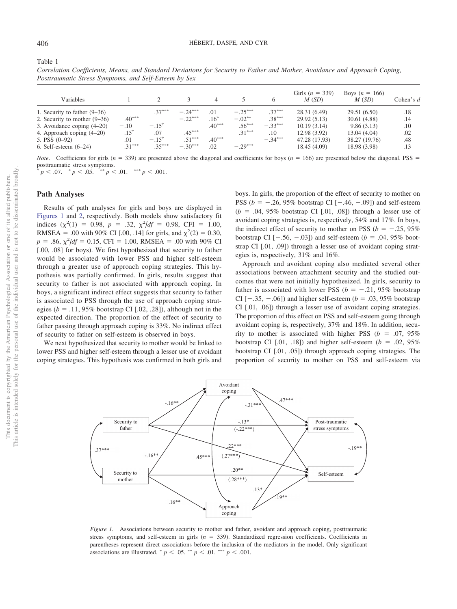<span id="page-4-0"></span>

| Correlation Coefficients, Means, and Standard Deviations for Security to Father and Mother, Avoidance and Approach Coping, |  |
|----------------------------------------------------------------------------------------------------------------------------|--|
| Posttraumatic Stress Symptoms, and Self-Esteem by Sex                                                                      |  |

| Variables                      |                 |                  |           |          |           | 6         | Girls $(n = 339)$<br>M(SD) | Boys $(n = 166)$<br>M(SD) | Cohen's $d$ |
|--------------------------------|-----------------|------------------|-----------|----------|-----------|-----------|----------------------------|---------------------------|-------------|
| 1. Security to father $(9-36)$ |                 | $.37***$         | $-.24***$ | .01      | $-.25***$ | $.37***$  | 28.31 (6.49)               | 29.51 (6.50)              | .18         |
| 2. Security to mother $(9-36)$ | $.40***$        |                  | $-.22***$ | $.16*$   | $-.02***$ | $.38***$  | 29.92(5.13)                | 30.61 (4.88)              | .14         |
| 3. Avoidance coping $(4-20)$   | $-.10$          | $-.15^{\circ}$   |           | $.40***$ | $.56***$  | $-.33***$ | 10.19(3.14)                | 9.86(3.13)                | .10         |
| 4. Approach coping (4–20)      | $.15^{\dagger}$ | .07              | $.45***$  |          | $.31***$  | .10       | 12.98 (3.92)               | 13.04 (4.04)              | .02         |
| 5. PSS $(0-92)$                | .01             | $-.15^{\dagger}$ | $.51***$  | $.40***$ |           | $-.34***$ | 47.28 (17.93)              | 38.27 (19.76)             | .48         |
| $6.$ Self-esteem $(6-24)$      | $31***$         | $35***$          | $-.30***$ | .02      | $-.29***$ |           | 18.45 (4.09)               | 18.98 (3.98)              | .13         |

*Note*. Coefficients for girls ( $n = 339$ ) are presented above the diagonal and coefficients for boys ( $n = 166$ ) are presented below the diagonal. PSS = posttraumatic stress symptoms.

† *p* .07. - *p* .05. -- *p* .01. --- *p* .001.

#### **Path Analyses**

Results of path analyses for girls and boys are displayed in [Figures 1](#page-4-1) and [2,](#page-5-0) respectively. Both models show satisfactory fit indices  $(\chi^2(1) = 0.98, p = .32, \chi^2/df = 0.98, CFI = 1.00,$ RMSEA = .00 with 90% CI [.00, .14] for girls, and  $\chi^2(2) = 0.30$ ,  $p = .86$ ,  $\chi^2/df = 0.15$ , CFI = 1.00, RMSEA = .00 with 90% CI [.00, .08] for boys). We first hypothesized that security to father would be associated with lower PSS and higher self-esteem through a greater use of approach coping strategies. This hypothesis was partially confirmed. In girls, results suggest that security to father is not associated with approach coping. In boys, a significant indirect effect suggests that security to father is associated to PSS through the use of approach coping strategies ( $b = .11, 95\%$  bootstrap CI [.02, .28]), although not in the expected direction. The proportion of the effect of security to father passing through approach coping is 33%. No indirect effect of security to father on self-esteem is observed in boys.

We next hypothesized that security to mother would be linked to lower PSS and higher self-esteem through a lesser use of avoidant coping strategies. This hypothesis was confirmed in both girls and boys. In girls, the proportion of the effect of security to mother on PSS ( $b = -.26, 95\%$  bootstrap CI  $[-.46, -.09]$ ) and self-esteem  $(b = .04, 95\%$  bootstrap CI [.01, .08]) through a lesser use of avoidant coping strategies is, respectively, 54% and 17%. In boys, the indirect effect of security to mother on PSS ( $b = -.25, 95\%$ bootstrap CI  $[-.56, -.03]$  and self-esteem ( $b = .04, 95\%$  bootstrap CI [.01, .09]) through a lesser use of avoidant coping strategies is, respectively, 31% and 16%.

Approach and avoidant coping also mediated several other associations between attachment security and the studied outcomes that were not initially hypothesized. In girls, security to father is associated with lower PSS ( $b = -.21, 95\%$  bootstrap CI  $[-.35, -.06]$ ) and higher self-esteem ( $b = .03, 95\%$  bootstrap CI [.01, .06]) through a lesser use of avoidant coping strategies. The proportion of this effect on PSS and self-esteem going through avoidant coping is, respectively, 37% and 18%. In addition, security to mother is associated with higher PSS ( $b = .07, 95\%$ bootstrap CI [.01, .18]) and higher self-esteem  $(b = .02, 95\%)$ bootstrap CI [.01, .05]) through approach coping strategies. The proportion of security to mother on PSS and self-esteem via



<span id="page-4-1"></span>*Figure 1.* Associations between security to mother and father, avoidant and approach coping, posttraumatic stress symptoms, and self-esteem in girls  $(n = 339)$ . Standardized regression coefficients. Coefficients in parentheses represent direct associations before the inclusion of the mediators in the model. Only significant associations are illustrated.  $p < .05$ .  $^{**} p < .01$ .  $^{***} p < .001$ .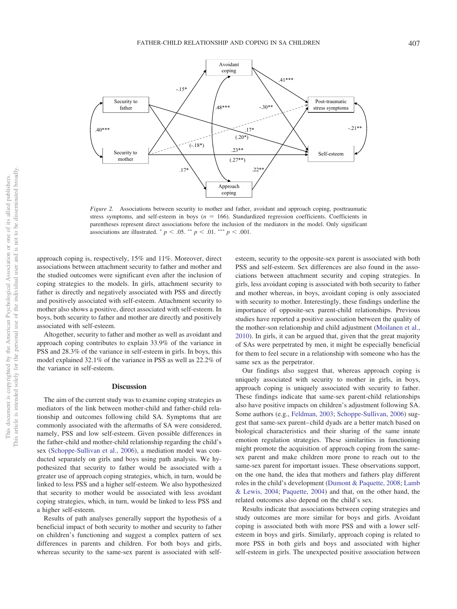

<span id="page-5-0"></span>*Figure 2.* Associations between security to mother and father, avoidant and approach coping, posttraumatic stress symptoms, and self-esteem in boys  $(n = 166)$ . Standardized regression coefficients. Coefficients in parentheses represent direct associations before the inclusion of the mediators in the model. Only significant associations are illustrated.  $p < .05$ .  $^{**} p < .01$ .  $^{***} p < .001$ .

approach coping is, respectively, 15% and 11%. Moreover, direct associations between attachment security to father and mother and the studied outcomes were significant even after the inclusion of coping strategies to the models. In girls, attachment security to father is directly and negatively associated with PSS and directly and positively associated with self-esteem. Attachment security to mother also shows a positive, direct associated with self-esteem. In boys, both security to father and mother are directly and positively associated with self-esteem.

Altogether, security to father and mother as well as avoidant and approach coping contributes to explain 33.9% of the variance in PSS and 28.3% of the variance in self-esteem in girls. In boys, this model explained 32.1% of the variance in PSS as well as 22.2% of the variance in self-esteem.

#### **Discussion**

The aim of the current study was to examine coping strategies as mediators of the link between mother-child and father-child relationship and outcomes following child SA. Symptoms that are commonly associated with the aftermaths of SA were considered, namely, PSS and low self-esteem. Given possible differences in the father-child and mother-child relationship regarding the child's sex [\(Schoppe-Sullivan et al., 2006\)](#page-8-16), a mediation model was conducted separately on girls and boys using path analysis. We hypothesized that security to father would be associated with a greater use of approach coping strategies, which, in turn, would be linked to less PSS and a higher self-esteem. We also hypothesized that security to mother would be associated with less avoidant coping strategies, which, in turn, would be linked to less PSS and a higher self-esteem.

Results of path analyses generally support the hypothesis of a beneficial impact of both security to mother and security to father on children's functioning and suggest a complex pattern of sex differences in parents and children. For both boys and girls, whereas security to the same-sex parent is associated with self-

esteem, security to the opposite-sex parent is associated with both PSS and self-esteem. Sex differences are also found in the associations between attachment security and coping strategies. In girls, less avoidant coping is associated with both security to father and mother whereas, in boys, avoidant coping is only associated with security to mother. Interestingly, these findings underline the importance of opposite-sex parent-child relationships. Previous studies have reported a positive association between the quality of the mother-son relationship and child adjustment [\(Moilanen et al.,](#page-7-31) [2010\)](#page-7-31). In girls, it can be argued that, given that the great majority of SAs were perpetrated by men, it might be especially beneficial for them to feel secure in a relationship with someone who has the same sex as the perpetrator.

Our findings also suggest that, whereas approach coping is uniquely associated with security to mother in girls, in boys, approach coping is uniquely associated with security to father. These findings indicate that same-sex parent-child relationships also have positive impacts on children's adjustment following SA. Some authors (e.g., [Feldman, 2003;](#page-7-32) [Schoppe-Sullivan, 2006\)](#page-8-16) suggest that same-sex parent– child dyads are a better match based on biological characteristics and their sharing of the same innate emotion regulation strategies. These similarities in functioning might promote the acquisition of approach coping from the samesex parent and make children more prone to reach out to the same-sex parent for important issues. These observations support, on the one hand, the idea that mothers and fathers play different roles in the child's development [\(Dumont & Paquette, 2008;](#page-7-21) [Lamb](#page-7-19) [& Lewis, 2004;](#page-7-19) [Paquette, 2004\)](#page-7-12) and that, on the other hand, the related outcomes also depend on the child's sex.

Results indicate that associations between coping strategies and study outcomes are more similar for boys and girls. Avoidant coping is associated both with more PSS and with a lower selfesteem in boys and girls. Similarly, approach coping is related to more PSS in both girls and boys and associated with higher self-esteem in girls. The unexpected positive association between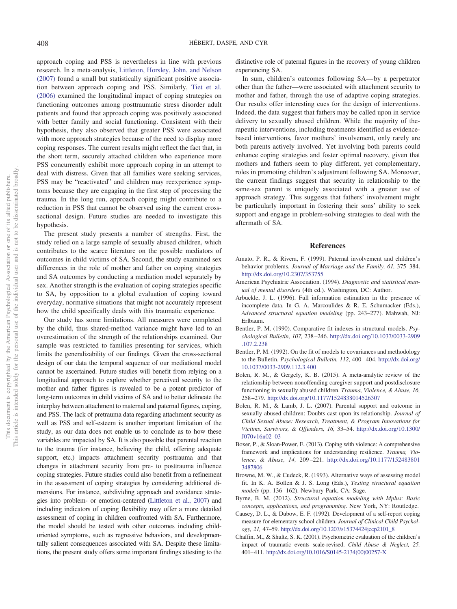approach coping and PSS is nevertheless in line with previous research. In a meta-analysis, [Littleton, Horsley, John, and Nelson](#page-7-33) [\(2007\)](#page-7-33) found a small but statistically significant positive association between approach coping and PSS. Similarly, [Tiet et al.](#page-8-17) [\(2006\)](#page-8-17) examined the longitudinal impact of coping strategies on functioning outcomes among posttraumatic stress disorder adult patients and found that approach coping was positively associated with better family and social functioning. Consistent with their hypothesis, they also observed that greater PSS were associated with more approach strategies because of the need to display more coping responses. The current results might reflect the fact that, in the short term, securely attached children who experience more PSS concurrently exhibit more approach coping in an attempt to deal with distress. Given that all families were seeking services, PSS may be "reactivated" and children may reexperience symptoms because they are engaging in the first step of processing the trauma. In the long run, approach coping might contribute to a reduction in PSS that cannot be observed using the current crosssectional design. Future studies are needed to investigate this hypothesis.

The present study presents a number of strengths. First, the study relied on a large sample of sexually abused children, which contributes to the scarce literature on the possible mediators of outcomes in child victims of SA. Second, the study examined sex differences in the role of mother and father on coping strategies and SA outcomes by conducting a mediation model separately by sex. Another strength is the evaluation of coping strategies specific to SA, by opposition to a global evaluation of coping toward everyday, normative situations that might not accurately represent how the child specifically deals with this traumatic experience.

Our study has some limitations. All measures were completed by the child, thus shared-method variance might have led to an overestimation of the strength of the relationships examined. Our sample was restricted to families presenting for services, which limits the generalizability of our findings. Given the cross-sectional design of our data the temporal sequence of our mediational model cannot be ascertained. Future studies will benefit from relying on a longitudinal approach to explore whether perceived security to the mother and father figures is revealed to be a potent predictor of long-term outcomes in child victims of SA and to better delineate the interplay between attachment to maternal and paternal figures, coping, and PSS. The lack of pretrauma data regarding attachment security as well as PSS and self-esteem is another important limitation of the study, as our data does not enable us to conclude as to how these variables are impacted by SA. It is also possible that parental reaction to the trauma (for instance, believing the child, offering adequate support, etc.) impacts attachment security posttrauma and that changes in attachment security from pre- to posttrauma influence coping strategies. Future studies could also benefit from a refinement in the assessment of coping strategies by considering additional dimensions. For instance, subdividing approach and avoidance strategies into problem- or emotion-centered [\(Littleton et al., 2007\)](#page-7-33) and including indicators of coping flexibility may offer a more detailed assessment of coping in children confronted with SA. Furthermore, the model should be tested with other outcomes including childoriented symptoms, such as regressive behaviors, and developmentally salient consequences associated with SA. Despite these limitations, the present study offers some important findings attesting to the distinctive role of paternal figures in the recovery of young children experiencing SA.

In sum, children's outcomes following SA— by a perpetrator other than the father—were associated with attachment security to mother and father, through the use of adaptive coping strategies. Our results offer interesting cues for the design of interventions. Indeed, the data suggest that fathers may be called upon in service delivery to sexually abused children. While the majority of therapeutic interventions, including treatments identified as evidencebased interventions, favor mothers' involvement, only rarely are both parents actively involved. Yet involving both parents could enhance coping strategies and foster optimal recovery, given that mothers and fathers seem to play different, yet complementary, roles in promoting children's adjustment following SA. Moreover, the current findings suggest that security in relationship to the same-sex parent is uniquely associated with a greater use of approach strategy. This suggests that fathers' involvement might be particularly important in fostering their sons' ability to seek support and engage in problem-solving strategies to deal with the aftermath of SA.

# **References**

- <span id="page-6-3"></span>Amato, P. R., & Rivera, F. (1999). Paternal involvement and children's behavior problems. *Journal of Marriage and the Family, 61,* 375–384. <http://dx.doi.org/10.2307/353755>
- <span id="page-6-5"></span>American Psychiatric Association. (1994). *Diagnostic and statistical manual of mental disorders* (4th ed.). Washington, DC: Author.
- <span id="page-6-7"></span>Arbuckle, J. L. (1996). Full information estimation in the presence of incomplete data. In G. A. Marcoulides & R. E. Schumacker (Eds.), *Advanced structural equation modeling* (pp. 243–277). Mahwah, NJ: Erlbaum.
- <span id="page-6-9"></span>Bentler, P. M. (1990). Comparative fit indexes in structural models. *Psychological Bulletin, 107,* 238 –246. [http://dx.doi.org/10.1037/0033-2909](http://dx.doi.org/10.1037/0033-2909.107.2.238) [.107.2.238](http://dx.doi.org/10.1037/0033-2909.107.2.238)
- <span id="page-6-10"></span>Bentler, P. M. (1992). On the fit of models to covariances and methodology to the Bulletin. *Psychological Bulletin, 112, 400-404. [http://dx.doi.org/](http://dx.doi.org/10.1037/0033-2909.112.3.400)* [10.1037/0033-2909.112.3.400](http://dx.doi.org/10.1037/0033-2909.112.3.400)
- <span id="page-6-2"></span>Bolen, R. M., & Gergely, K. B. (2015). A meta-analytic review of the relationship between nonoffending caregiver support and postdisclosure functioning in sexually abused children. *Trauma, Violence, & Abuse, 16,* 258 –279. <http://dx.doi.org/10.1177/1524838014526307>
- <span id="page-6-1"></span>Bolen, R. M., & Lamb, J. L. (2007). Parental support and outcome in sexually abused children: Doubts cast upon its relationship. *Journal of Child Sexual Abuse: Research, Treatment, & Program Innovations for Victims, Survivors, & Offenders, 16,* 33–54. [http://dx.doi.org/10.1300/](http://dx.doi.org/10.1300/J070v16n02_03) [J070v16n02\\_03](http://dx.doi.org/10.1300/J070v16n02_03)
- <span id="page-6-4"></span>Boxer, P., & Sloan-Power, E. (2013). Coping with violence: A comprehensive framework and implications for understanding resilience. *Trauma, Violence, & Abuse, 14,* 209 –221. [http://dx.doi.org/10.1177/152483801](http://dx.doi.org/10.1177/1524838013487806) [3487806](http://dx.doi.org/10.1177/1524838013487806)
- <span id="page-6-11"></span>Browne, M. W., & Cudeck, R. (1993). Alternative ways of assessing model fit. In K. A. Bollen & J. S. Long (Eds.), *Testing structural equation models* (pp. 136 –162). Newbury Park, CA: Sage.
- <span id="page-6-8"></span>Byrne, B. M. (2012). *Structural equation modeling with Mplus: Basic concepts, applications, and programming*. New York, NY: Routledge.
- <span id="page-6-0"></span>Causey, D. L., & Dubow, E. F. (1992). Development of a self-report coping measure for elementary school children. *Journal of Clinical Child Psychology, 21,* 47–59. [http://dx.doi.org/10.1207/s15374424jccp2101\\_8](http://dx.doi.org/10.1207/s15374424jccp2101_8)
- <span id="page-6-6"></span>Chaffin, M., & Shultz, S. K. (2001). Psychometric evaluation of the children's impact of traumatic events scale-revised. *Child Abuse & Neglect, 25,* 401– 411. [http://dx.doi.org/10.1016/S0145-2134\(00\)00257-X](http://dx.doi.org/10.1016/S0145-2134%2800%2900257-X)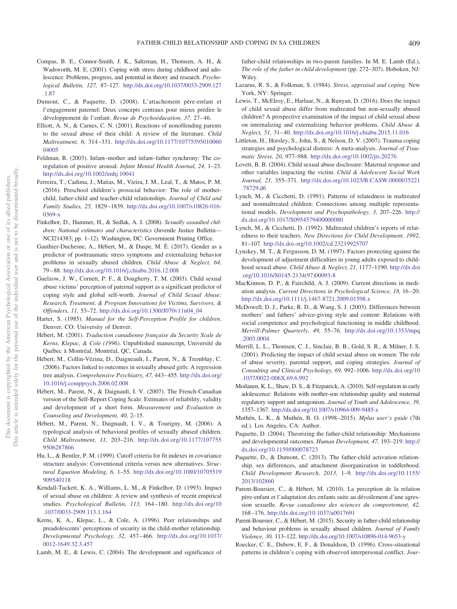- <span id="page-7-24"></span>Compas, B. E., Connor-Smith, J. K., Saltzman, H., Thomsen, A. H., & Wadsworth, M. E. (2001). Coping with stress during childhood and adolescence: Problems, progress, and potential in theory and research. *Psychological Bulletin, 127,* 87–127. [http://dx.doi.org/10.1037/0033-2909.127](http://dx.doi.org/10.1037/0033-2909.127.1.87) [.1.87](http://dx.doi.org/10.1037/0033-2909.127.1.87)
- <span id="page-7-21"></span>Dumont, C., & Paquette, D. (2008). L'attachement père-enfant et l'engagement paternel: Deux concepts centraux pour mieux prédire le développement de l'enfant. *Revue de Psychoéducation, 37,* 27– 46.
- <span id="page-7-5"></span>Elliott, A. N., & Carnes, C. N. (2001). Reactions of nonoffending parents to the sexual abuse of their child: A review of the literature. *Child Maltreatment, 6,* 314 –331. [http://dx.doi.org/10.1177/10775595010060](http://dx.doi.org/10.1177/1077559501006004005) [04005](http://dx.doi.org/10.1177/1077559501006004005)
- <span id="page-7-32"></span>Feldman, R. (2003). Infant–mother and infant–father synchrony: The coregulation of positive arousal. *Infant Mental Health Journal, 24,* 1–23. <http://dx.doi.org/10.1002/imhj.10041>
- <span id="page-7-18"></span>Ferreira, T., Cadima, J., Matias, M., Vieira, J. M., Leal, T., & Matos, P. M. (2016). Preschool children's prosocial behavior: The role of motherchild, father-child and teacher-child relationships. *Journal of Child and Family Studies, 25,* 1829 –1839. [http://dx.doi.org/10.1007/s10826-016-](http://dx.doi.org/10.1007/s10826-016-0369-x) [0369-x](http://dx.doi.org/10.1007/s10826-016-0369-x)
- <span id="page-7-25"></span>Finkelhor, D., Hammer, H., & Sedlak, A. J. (2008). *Sexually assaulted children: National estimates and characteristics* (Juvenile Justice Bulletin— NCJ214383; pp. 1–12). Washington, DC: Government Printing Office.
- <span id="page-7-4"></span>Gauthier-Duchesne, A., Hébert, M., & Daspe, M. È. (2017). Gender as a predictor of posttraumatic stress symptoms and externalizing behavior problems in sexually abused children. *Child Abuse & Neglect, 64,* 79 – 88. <http://dx.doi.org/10.1016/j.chiabu.2016.12.008>
- <span id="page-7-14"></span>Guelzow, J. W., Cornett, P. F., & Dougherty, T. M. (2003). Child sexual abuse victims' perception of paternal support as a significant predictor of coping style and global self-worth. *Journal of Child Sexual Abuse: Research, Treatment, & Program Innovations for Victims, Survivors, & Offenders, 11,* 53–72. [http://dx.doi.org/10.1300/J070v11n04\\_04](http://dx.doi.org/10.1300/J070v11n04_04)
- <span id="page-7-1"></span>Harter, S. (1985). *Manual for the Self-Perception Profile for children*. Denver, CO: University of Denver.
- <span id="page-7-26"></span>Hébert, M. (2001). *Traduction canadienne française du Security Scale de Kerns, Klepac, & Cole (1996)*. Unpublished manuscript, Université du Québec a` Montréal, Montréal, QC, Canada.
- <span id="page-7-9"></span>Hébert, M., Collin-Vézina, D., Daigneault, I., Parent, N., & Tremblay, C. (2006). Factors linked to outcomes in sexually abused girls: A regression tree analysis. *Comprehensive Psychiatry, 47,* 443– 455. [http://dx.doi.org/](http://dx.doi.org/10.1016/j.comppsych.2006.02.008) [10.1016/j.comppsych.2006.02.008](http://dx.doi.org/10.1016/j.comppsych.2006.02.008)
- <span id="page-7-27"></span>Hébert, M., Parent, N., & Daignault, I. V. (2007). The French-Canadian version of the Self-Report Coping Scale: Estimates of reliability, validity and development of a short form. *Measurement and Evaluation in Counseling and Development, 40,* 2–15.
- <span id="page-7-8"></span>Hébert, M., Parent, N., Daignault, I. V., & Tourigny, M. (2006). A typological analysis of behavioral profiles of sexually abused children. *Child Maltreatment, 11,* 203–216. [http://dx.doi.org/10.1177/107755](http://dx.doi.org/10.1177/1077559506287866) [9506287866](http://dx.doi.org/10.1177/1077559506287866)
- <span id="page-7-29"></span>Hu, L., & Bentler, P. M. (1999). Cutoff criteria for fit indexes in covariance structure analysis: Conventional criteria versus new alternatives. *Structural Equation Modeling, 6,* 1–55. [http://dx.doi.org/10.1080/10705519](http://dx.doi.org/10.1080/10705519909540118) [909540118](http://dx.doi.org/10.1080/10705519909540118)
- <span id="page-7-3"></span>Kendall-Tackett, K. A., Williams, L. M., & Finkelhor, D. (1993). Impact of sexual abuse on children: A review and synthesis of recent empirical studies. *Psychological Bulletin, 113,* 164 –180. [http://dx.doi.org/10](http://dx.doi.org/10.1037/0033-2909.113.1.164) [.1037/0033-2909.113.1.164](http://dx.doi.org/10.1037/0033-2909.113.1.164)
- <span id="page-7-0"></span>Kerns, K. A., Klepac, L., & Cole, A. (1996). Peer relationships and preadolescents' perceptions of security in the child-mother relationship. *Developmental Psychology, 32,* 457– 466. [http://dx.doi.org/10.1037/](http://dx.doi.org/10.1037/0012-1649.32.3.457) [0012-1649.32.3.457](http://dx.doi.org/10.1037/0012-1649.32.3.457)
- <span id="page-7-19"></span>Lamb, M. E., & Lewis, C. (2004). The development and significance of

father-child relationships in two-parent families. In M. E. Lamb (Ed.), *The role of the father in child development* (pp. 272–307). Hoboken, NJ: Wiley.

- <span id="page-7-22"></span>Lazarus, R. S., & Folkman, S. (1984). *Stress, appraisal and coping*. New York, NY: Springer.
- <span id="page-7-2"></span>Lewis, T., McElroy, E., Harlaar, N., & Runyan, D. (2016). Does the impact of child sexual abuse differ from maltreated but non-sexually abused children? A prospective examination of the impact of child sexual abuse on internalizing and externalizing behavior problems. *Child Abuse & Neglect, 51,* 31– 40. <http://dx.doi.org/10.1016/j.chiabu.2015.11.016>
- <span id="page-7-33"></span>Littleton, H., Horsley, S., John, S., & Nelson, D. V. (2007). Trauma coping strategies and psychological distress: A meta-analysis. *Journal of Traumatic Stress, 20,* 977–988. <http://dx.doi.org/10.1002/jts.20276>
- <span id="page-7-6"></span>Lovett, B. B. (2004). Child sexual abuse disclosure: Maternal response and other variables impacting the victim. *Child & Adolescent Social Work Journal, 21,* 355–371. [http://dx.doi.org/10.1023/B:CASW.0000035221](http://dx.doi.org/10.1023/B:CASW.0000035221.78729.d6) [.78729.d6](http://dx.doi.org/10.1023/B:CASW.0000035221.78729.d6)
- <span id="page-7-10"></span>Lynch, M., & Cicchetti, D. (1991). Patterns of relatedness in maltreated and nonmaltreated children: Connections among multiple representational models. *Development and Psychopathology, 3,* 207–226. [http://](http://dx.doi.org/10.1017/S0954579400000080) [dx.doi.org/10.1017/S0954579400000080](http://dx.doi.org/10.1017/S0954579400000080)
- <span id="page-7-11"></span>Lynch, M., & Cicchetti, D. (1992). Maltreated children's reports of relatedness to their teachers. *New Directions for Child Development, 1992,* 81–107. <http://dx.doi.org/10.1002/cd.23219925707>
- <span id="page-7-15"></span>Lynskey, M. T., & Fergusson, D. M. (1997). Factors protecting against the development of adjustment difficulties in young adults exposed to childhood sexual abuse. *Child Abuse & Neglect, 21,* 1177–1190. [http://dx.doi](http://dx.doi.org/10.1016/S0145-2134%2897%2900093-8) [.org/10.1016/S0145-2134\(97\)00093-8](http://dx.doi.org/10.1016/S0145-2134%2897%2900093-8)
- <span id="page-7-30"></span>MacKinnon, D. P., & Fairchild, A. J. (2009). Current directions in mediation analysis. *Current Directions in Psychological Science, 18,* 16 –20. <http://dx.doi.org/10.1111/j.1467-8721.2009.01598.x>
- <span id="page-7-13"></span>McDowell, D. J., Parke, R. D., & Wang, S. J. (2003). Differences between mothers' and fathers' advice-giving style and content: Relations with social competence and psychological functioning in middle childhood. *Merrill-Palmer Quarterly, 49,* 55–76. [http://dx.doi.org/10.1353/mpq](http://dx.doi.org/10.1353/mpq.2003.0004) [.2003.0004](http://dx.doi.org/10.1353/mpq.2003.0004)
- <span id="page-7-7"></span>Merrill, L. L., Thomsen, C. J., Sinclair, B. B., Gold, S. R., & Milner, J. S. (2001). Predicting the impact of child sexual abuse on women: The role of abuse severity, parental support, and coping strategies. *Journal of Consulting and Clinical Psychology, 69,* 992–1006. [http://dx.doi.org/10](http://dx.doi.org/10.1037/0022-006X.69.6.992) [.1037/0022-006X.69.6.992](http://dx.doi.org/10.1037/0022-006X.69.6.992)
- <span id="page-7-31"></span>Moilanen, K. L., Shaw, D. S., & Fitzpatrick, A. (2010). Self-regulation in early adolescence: Relations with mother-son relationship quality and maternal regulatory support and antagonism. *Journal of Youth and Adolescence, 39,* 1357–1367. <http://dx.doi.org/10.1007/s10964-009-9485-x>
- <span id="page-7-28"></span>Muthén, L. K., & Muthén, B. O. (1998 –2015). *Mplus user's guide* (7th ed.). Los Angeles, CA: Author.
- <span id="page-7-12"></span>Paquette, D. (2004). Theorizing the father-child relationship: Mechanisms and developmental outcomes. *Human Development, 47,* 193–219. [http://](http://dx.doi.org/10.1159/000078723) [dx.doi.org/10.1159/000078723](http://dx.doi.org/10.1159/000078723)
- <span id="page-7-20"></span>Paquette, D., & Dumont, C. (2013). The father-child activation relationship, sex differences, and attachment disorganization in toddlerhood. *Child Development Research, 2013,* 1–9. [http://dx.doi.org/10.1155/](http://dx.doi.org/10.1155/2013/102860) [2013/102860](http://dx.doi.org/10.1155/2013/102860)
- <span id="page-7-16"></span>Parent-Boursier, C., & Hébert, M. (2010). La perception de la relation père-enfant et l'adaptation des enfants suite au dévoilement d'une agression sexuelle. *Revue canadienne des sciences du comportement, 42,* 168 –176. <http://dx.doi.org/10.1037/a0017691>
- <span id="page-7-17"></span>Parent-Boursier, C., & Hébert, M. (2015). Security in father-child relationship and behaviour problems in sexually abused children. *Journal of Family Violence, 30,* 113–122. <http://dx.doi.org/10.1007/s10896-014-9653-y>
- <span id="page-7-23"></span>Roecker, C. E., Dubow, E. F., & Donaldson, D. (1996). Cross-situational patterns in children's coping with observed interpersonal conflict. *Jour-*